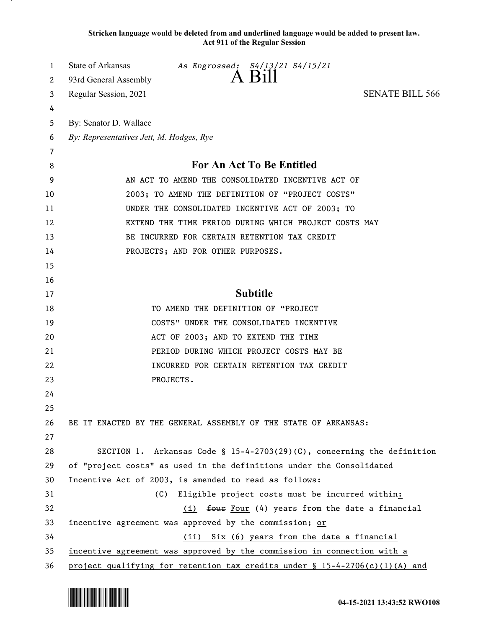**Stricken language would be deleted from and underlined language would be added to present law. Act 911 of the Regular Session**

| 1  | <b>State of Arkansas</b><br>As Engrossed: S4/13/21 S4/15/21                    |
|----|--------------------------------------------------------------------------------|
| 2  | $A$ Bill<br>93rd General Assembly                                              |
| 3  | Regular Session, 2021<br><b>SENATE BILL 566</b>                                |
| 4  |                                                                                |
| 5  | By: Senator D. Wallace                                                         |
| 6  | By: Representatives Jett, M. Hodges, Rye                                       |
| 7  |                                                                                |
| 8  | <b>For An Act To Be Entitled</b>                                               |
| 9  | AN ACT TO AMEND THE CONSOLIDATED INCENTIVE ACT OF                              |
| 10 | 2003; TO AMEND THE DEFINITION OF "PROJECT COSTS"                               |
| 11 | UNDER THE CONSOLIDATED INCENTIVE ACT OF 2003; TO                               |
| 12 | EXTEND THE TIME PERIOD DURING WHICH PROJECT COSTS MAY                          |
| 13 | BE INCURRED FOR CERTAIN RETENTION TAX CREDIT                                   |
| 14 | PROJECTS; AND FOR OTHER PURPOSES.                                              |
| 15 |                                                                                |
| 16 |                                                                                |
| 17 | <b>Subtitle</b>                                                                |
| 18 | TO AMEND THE DEFINITION OF "PROJECT                                            |
| 19 | COSTS" UNDER THE CONSOLIDATED INCENTIVE                                        |
| 20 | ACT OF 2003; AND TO EXTEND THE TIME                                            |
| 21 | PERIOD DURING WHICH PROJECT COSTS MAY BE                                       |
| 22 | INCURRED FOR CERTAIN RETENTION TAX CREDIT                                      |
| 23 | PROJECTS.                                                                      |
| 24 |                                                                                |
| 25 |                                                                                |
| 26 | BE IT ENACTED BY THE GENERAL ASSEMBLY OF THE STATE OF ARKANSAS:                |
| 27 |                                                                                |
| 28 | SECTION 1. Arkansas Code § 15-4-2703(29)(C), concerning the definition         |
| 29 | of "project costs" as used in the definitions under the Consolidated           |
| 30 | Incentive Act of 2003, is amended to read as follows:                          |
| 31 | Eligible project costs must be incurred within:<br>(C)                         |
| 32 | (i) four Four (4) years from the date a financial                              |
| 33 | incentive agreement was approved by the commission; or                         |
| 34 | (ii) Six (6) years from the date a financial                                   |
| 35 | incentive agreement was approved by the commission in connection with a        |
| 36 | project qualifying for retention tax credits under $\S 15-4-2706(c)(1)(A)$ and |